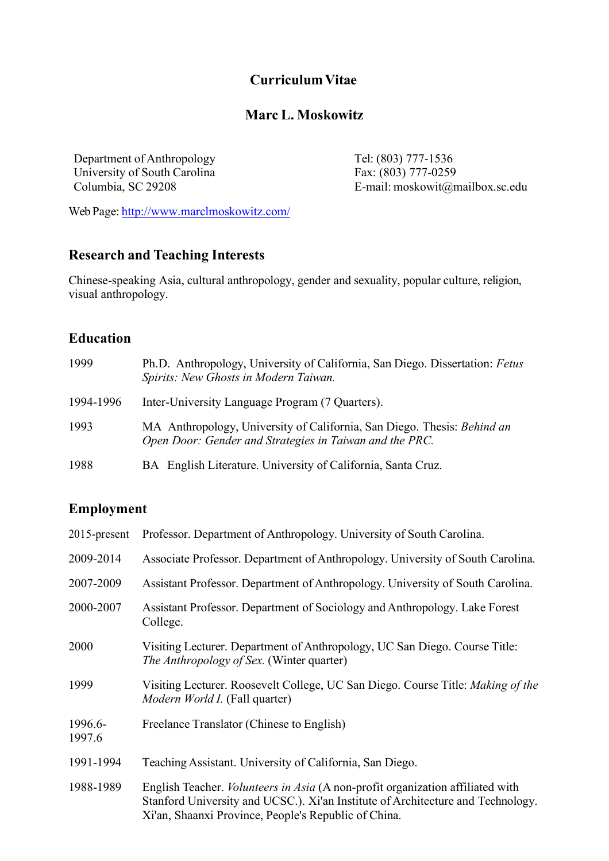# **CurriculumVitae**

# **Marc L. Moskowitz**

Department of Anthropology Tel: (803) 777-1536 University of South Carolina<br>
Columbia, SC 29208<br>
E-mail: moskowit@n

E-mail: moskowit@mailbox.sc.edu

Web Page: http://www.marclmoskowitz.com/

# **Research and Teaching Interests**

Chinese-speaking Asia, cultural anthropology, gender and sexuality, popular culture, religion, visual anthropology.

## **Education**

| 1999      | Ph.D. Anthropology, University of California, San Diego. Dissertation: Fetus<br>Spirits: New Ghosts in Modern Taiwan.              |
|-----------|------------------------------------------------------------------------------------------------------------------------------------|
| 1994-1996 | Inter-University Language Program (7 Quarters).                                                                                    |
| 1993      | MA Anthropology, University of California, San Diego. Thesis: Behind an<br>Open Door: Gender and Strategies in Taiwan and the PRC. |
| 1988      | BA English Literature. University of California, Santa Cruz.                                                                       |

## **Employment**

| $2015$ -present   | Professor. Department of Anthropology. University of South Carolina.                                                                                                                                                             |
|-------------------|----------------------------------------------------------------------------------------------------------------------------------------------------------------------------------------------------------------------------------|
| 2009-2014         | Associate Professor. Department of Anthropology. University of South Carolina.                                                                                                                                                   |
| 2007-2009         | Assistant Professor. Department of Anthropology. University of South Carolina.                                                                                                                                                   |
| 2000-2007         | Assistant Professor. Department of Sociology and Anthropology. Lake Forest<br>College.                                                                                                                                           |
| 2000              | Visiting Lecturer. Department of Anthropology, UC San Diego. Course Title:<br><i>The Anthropology of Sex.</i> (Winter quarter)                                                                                                   |
| 1999              | Visiting Lecturer. Roosevelt College, UC San Diego. Course Title: Making of the<br><i>Modern World I.</i> (Fall quarter)                                                                                                         |
| 1996.6-<br>1997.6 | Freelance Translator (Chinese to English)                                                                                                                                                                                        |
| 1991-1994         | Teaching Assistant. University of California, San Diego.                                                                                                                                                                         |
| 1988-1989         | English Teacher. <i>Volunteers in Asia</i> (A non-profit organization affiliated with<br>Stanford University and UCSC.). Xi'an Institute of Architecture and Technology.<br>Xi'an, Shaanxi Province, People's Republic of China. |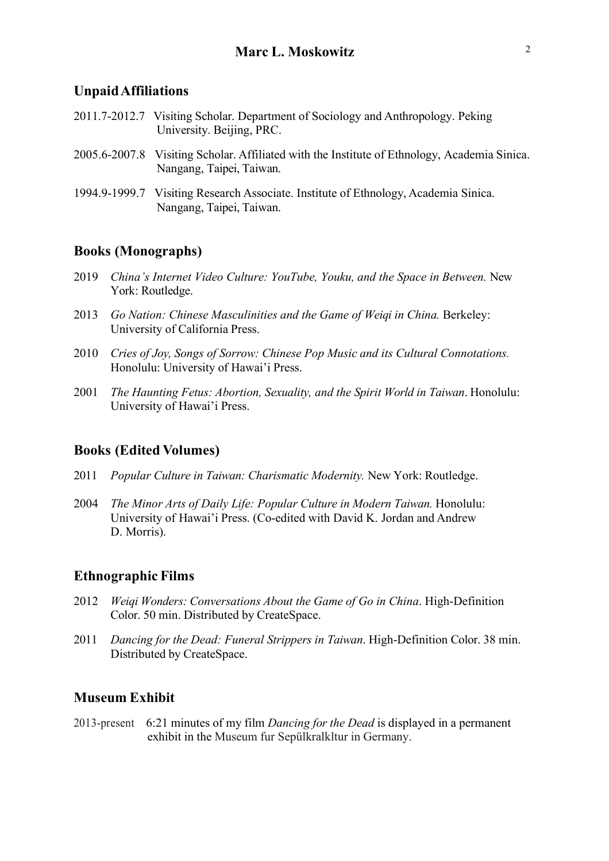#### **UnpaidAffiliations**

- 2011.7-2012.7 Visiting Scholar. Department of Sociology and Anthropology. Peking University. Beijing, PRC.
- 2005.6-2007.8 Visiting Scholar. Affiliated with the Institute of Ethnology, Academia Sinica. Nangang, Taipei, Taiwan.
- 1994.9-1999.7 Visiting Research Associate. Institute of Ethnology, Academia Sinica. Nangang, Taipei, Taiwan.

#### **Books (Monographs)**

- 2019 *China's Internet Video Culture: YouTube, Youku, and the Space in Between.* New York: Routledge.
- 2013 *Go Nation: Chinese Masculinities and the Game of Weiqi in China.* Berkeley: University of California Press.
- 2010 *Cries of Joy, Songs of Sorrow: Chinese Pop Music and its Cultural Connotations.* Honolulu: University of Hawai'i Press.
- 2001 *The Haunting Fetus: Abortion, Sexuality, and the Spirit World in Taiwan*. Honolulu: University of Hawai'i Press.

#### **Books (Edited Volumes)**

- 2011 *Popular Culture in Taiwan: Charismatic Modernity.* New York: Routledge.
- 2004 *The Minor Arts of Daily Life: Popular Culture in Modern Taiwan.* Honolulu: University of Hawai'i Press. (Co-edited with David K. Jordan and Andrew D. Morris).

#### **Ethnographic Films**

- 2012 *Weiqi Wonders: Conversations About the Game of Go in China*. High-Definition Color. 50 min. Distributed by CreateSpace.
- 2011 *Dancing for the Dead: Funeral Strippers in Taiwan*. High-Definition Color. 38 min. Distributed by CreateSpace.

#### **Museum Exhibit**

2013-present 6:21 minutes of my film *Dancing for the Dead* is displayed in a permanent exhibit in the Museum fur Sepülkralkltur in Germany.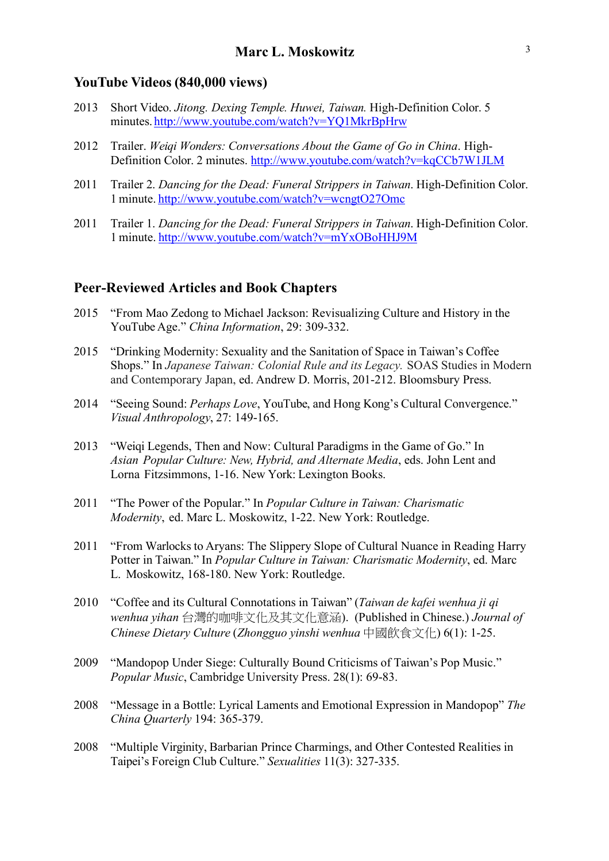#### **YouTube Videos (840,000 views)**

- 2013 Short Video. *Jitong. Dexing Temple. Huwei, Taiwan.* High-Definition Color. 5 minutes. http://www.youtube.com/watch?v=YQ1MkrBpHrw
- 2012 Trailer. *Weiqi Wonders: Conversations About the Game of Go in China*. High-Definition Color. 2 minutes. http://www.youtube.com/watch?v=kqCCb7W1JLM
- 2011 Trailer 2. *Dancing for the Dead: Funeral Strippers in Taiwan*. High-Definition Color. 1 minute. http://www.youtube.com/watch?v=wcngtO27Omc
- 2011 Trailer 1. *Dancing for the Dead: Funeral Strippers in Taiwan*. High-Definition Color. 1 minute. http://www.youtube.com/watch?v=mYxOBoHHJ9M

#### **Peer-Reviewed Articles and Book Chapters**

- 2015 "From Mao Zedong to Michael Jackson: Revisualizing Culture and History in the YouTube Age." *China Information*, 29: 309-332.
- 2015 "Drinking Modernity: Sexuality and the Sanitation of Space in Taiwan's Coffee Shops." In *Japanese Taiwan: Colonial Rule and its Legacy.* SOAS Studies in Modern and Contemporary Japan, ed. Andrew D. Morris, 201-212. Bloomsbury Press.
- 2014 "Seeing Sound: *Perhaps Love*, YouTube, and Hong Kong's Cultural Convergence." *Visual Anthropology*, 27: 149-165.
- 2013 "Weiqi Legends, Then and Now: Cultural Paradigms in the Game of Go." In *Asian Popular Culture: New, Hybrid, and Alternate Media*, eds. John Lent and Lorna Fitzsimmons, 1-16. New York: Lexington Books.
- 2011 "The Power of the Popular." In *Popular Culture in Taiwan: Charismatic Modernity*, ed. Marc L. Moskowitz, 1-22. New York: Routledge.
- 2011 "From Warlocks to Aryans: The Slippery Slope of Cultural Nuance in Reading Harry Potter in Taiwan." In *Popular Culture in Taiwan: Charismatic Modernity*, ed. Marc L. Moskowitz, 168-180. New York: Routledge.
- 2010 "Coffee and its Cultural Connotations in Taiwan" (*Taiwan de kafei wenhua ji qi wenhua yihan* 台灣的咖啡文化及其文化意涵). (Published in Chinese.) *Journal of Chinese Dietary Culture* (*Zhongguo yinshi wenhua* 中國飲食文化) 6(1): 1-25.
- 2009 "Mandopop Under Siege: Culturally Bound Criticisms of Taiwan's Pop Music." *Popular Music*, Cambridge University Press. 28(1): 69-83.
- 2008 "Message in a Bottle: Lyrical Laments and Emotional Expression in Mandopop" *The China Quarterly* 194: 365-379.
- 2008 "Multiple Virginity, Barbarian Prince Charmings, and Other Contested Realities in Taipei's Foreign Club Culture." *Sexualities* 11(3): 327-335.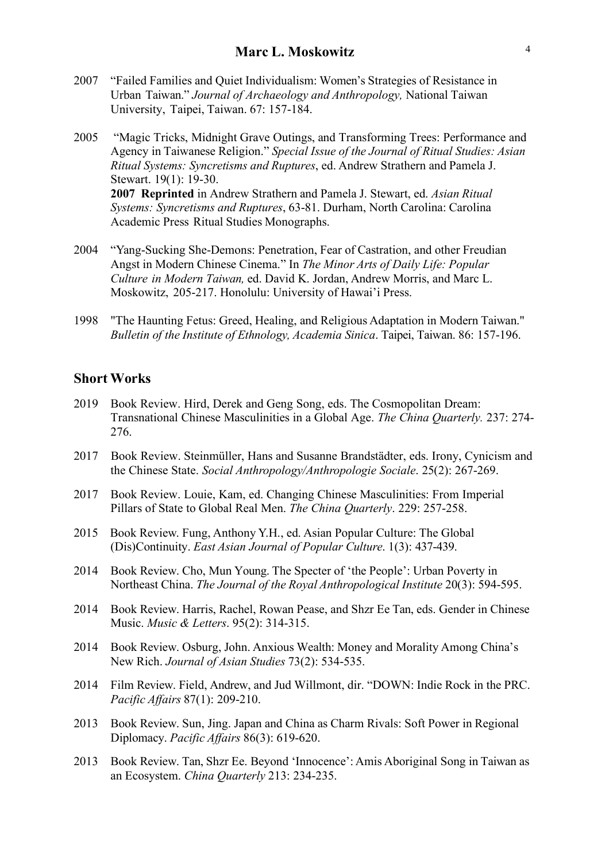- 2007 "Failed Families and Quiet Individualism: Women's Strategies of Resistance in Urban Taiwan." *Journal of Archaeology and Anthropology,* National Taiwan University, Taipei, Taiwan. 67: 157-184.
- 2005 "Magic Tricks, Midnight Grave Outings, and Transforming Trees: Performance and Agency in Taiwanese Religion." *Special Issue of the Journal of Ritual Studies: Asian Ritual Systems: Syncretisms and Ruptures*, ed. Andrew Strathern and Pamela J. Stewart. 19(1): 19-30. **2007 Reprinted** in Andrew Strathern and Pamela J. Stewart, ed. *Asian Ritual Systems: Syncretisms and Ruptures*, 63-81. Durham, North Carolina: Carolina Academic Press Ritual Studies Monographs.
- 2004 "Yang-Sucking She-Demons: Penetration, Fear of Castration, and other Freudian Angst in Modern Chinese Cinema." In *The Minor Arts of Daily Life: Popular Culture in Modern Taiwan,* ed. David K. Jordan, Andrew Morris, and Marc L. Moskowitz, 205-217. Honolulu: University of Hawai'i Press.
- 1998 "The Haunting Fetus: Greed, Healing, and Religious Adaptation in Modern Taiwan." *Bulletin of the Institute of Ethnology, Academia Sinica*. Taipei, Taiwan. 86: 157-196.

### **Short Works**

- 2019 Book Review. Hird, Derek and Geng Song, eds. The Cosmopolitan Dream: Transnational Chinese Masculinities in a Global Age. *The China Quarterly.* 237: 274- 276.
- 2017 Book Review. Steinmüller, Hans and Susanne Brandstädter, eds. Irony, Cynicism and the Chinese State. *Social Anthropology/Anthropologie Sociale*. 25(2): 267-269.
- 2017 Book Review. Louie, Kam, ed. Changing Chinese Masculinities: From Imperial Pillars of State to Global Real Men. *The China Quarterly*. 229: 257-258.
- 2015 Book Review. Fung, Anthony Y.H., ed. Asian Popular Culture: The Global (Dis)Continuity. *East Asian Journal of Popular Culture*. 1(3): 437-439.
- 2014 Book Review. Cho, Mun Young. The Specter of 'the People': Urban Poverty in Northeast China. *The Journal of the Royal Anthropological Institute* 20(3): 594-595.
- 2014 Book Review. Harris, Rachel, Rowan Pease, and Shzr Ee Tan, eds. Gender in Chinese Music. *Music & Letters*. 95(2): 314-315.
- 2014 Book Review. Osburg, John. Anxious Wealth: Money and Morality Among China's New Rich. *Journal of Asian Studies* 73(2): 534-535.
- 2014 Film Review. Field, Andrew, and Jud Willmont, dir. "DOWN: Indie Rock in the PRC. *Pacific Affairs* 87(1): 209-210.
- 2013 Book Review. Sun, Jing. Japan and China as Charm Rivals: Soft Power in Regional Diplomacy. *Pacific Affairs* 86(3): 619-620.
- 2013 Book Review. Tan, Shzr Ee. Beyond 'Innocence': Amis Aboriginal Song in Taiwan as an Ecosystem. *China Quarterly* 213: 234-235.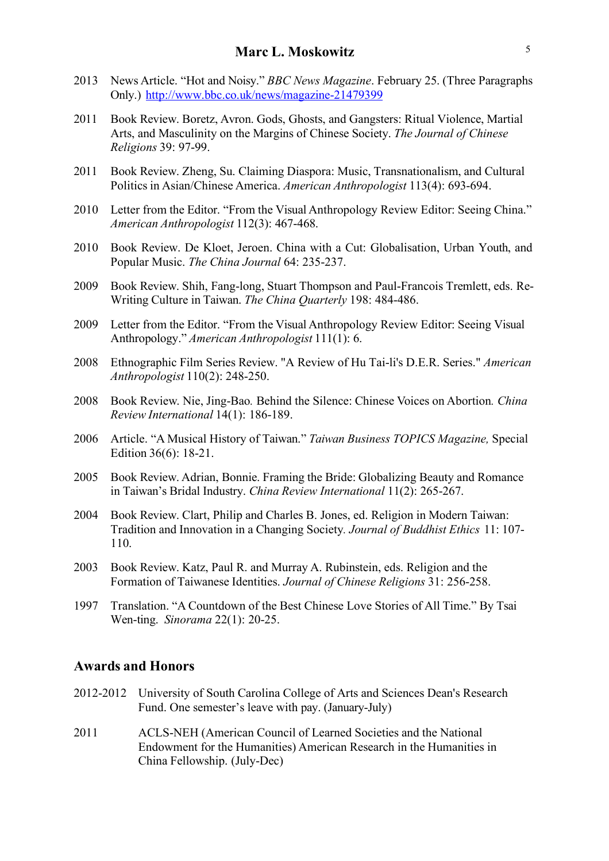- 2013 News Article. "Hot and Noisy." *BBC News Magazine*. February 25. (Three Paragraphs Only.) http://www.bbc.co.uk/news/magazine-21479399
- 2011 Book Review. Boretz, Avron. Gods, Ghosts, and Gangsters: Ritual Violence, Martial Arts, and Masculinity on the Margins of Chinese Society. *The Journal of Chinese Religions* 39: 97-99.
- 2011 Book Review. Zheng, Su. Claiming Diaspora: Music, Transnationalism, and Cultural Politics in Asian/Chinese America. *American Anthropologist* 113(4): 693-694.
- 2010 Letter from the Editor. "From the Visual Anthropology Review Editor: Seeing China." *American Anthropologist* 112(3): 467-468.
- 2010 Book Review. De Kloet, Jeroen. China with a Cut: Globalisation, Urban Youth, and Popular Music. *The China Journal* 64: 235-237.
- 2009 Book Review. Shih, Fang-long, Stuart Thompson and Paul-Francois Tremlett, eds. Re-Writing Culture in Taiwan. *The China Quarterly* 198: 484-486.
- 2009 Letter from the Editor. "From the Visual Anthropology Review Editor: Seeing Visual Anthropology." *American Anthropologist* 111(1): 6.
- 2008 Ethnographic Film Series Review. "A Review of Hu Tai-li's D.E.R. Series." *American Anthropologist* 110(2): 248-250.
- 2008 Book Review. Nie, Jing-Bao*.* Behind the Silence: Chinese Voices on Abortion*. China Review International* 14(1): 186-189.
- 2006 Article. "A Musical History of Taiwan." *Taiwan Business TOPICS Magazine,* Special Edition 36(6): 18-21.
- 2005 Book Review. Adrian, Bonnie. Framing the Bride: Globalizing Beauty and Romance in Taiwan's Bridal Industry. *China Review International* 11(2): 265-267.
- 2004 Book Review. Clart, Philip and Charles B. Jones, ed. Religion in Modern Taiwan: Tradition and Innovation in a Changing Society*. Journal of Buddhist Ethics* 11: 107- 110.
- 2003 Book Review. Katz, Paul R. and Murray A. Rubinstein, eds. Religion and the Formation of Taiwanese Identities. *Journal of Chinese Religions* 31: 256-258.
- 1997 Translation. "A Countdown of the Best Chinese Love Stories of All Time." By Tsai Wen-ting. *Sinorama* 22(1): 20-25.

#### **Awards and Honors**

- 2012-2012 University of South Carolina College of Arts and Sciences Dean's Research Fund. One semester's leave with pay. (January-July)
- 2011 ACLS-NEH (American Council of Learned Societies and the National Endowment for the Humanities) American Research in the Humanities in China Fellowship. (July-Dec)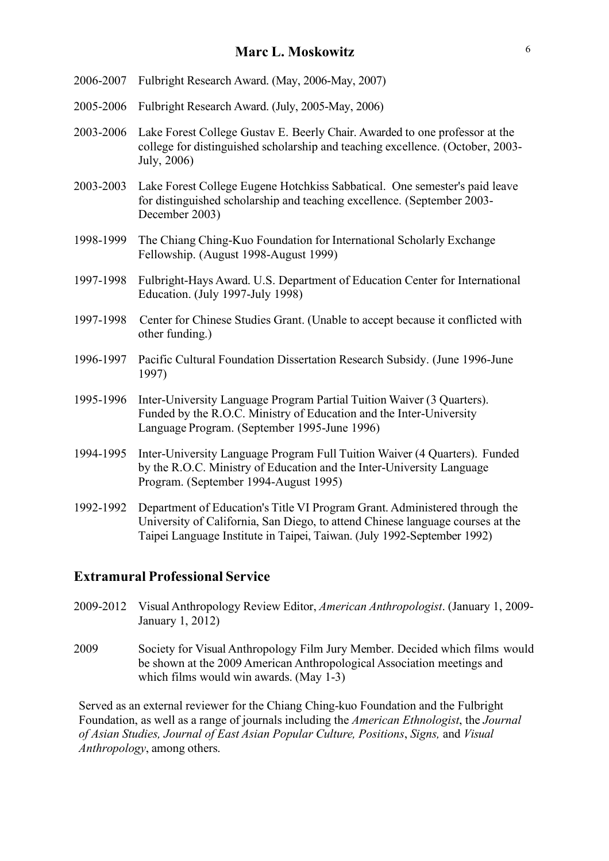- 2006-2007 Fulbright Research Award. (May, 2006-May, 2007)
- 2005-2006 Fulbright Research Award. (July, 2005-May, 2006)
- 2003-2006 Lake Forest College Gustav E. Beerly Chair. Awarded to one professor at the college for distinguished scholarship and teaching excellence. (October, 2003- July, 2006)
- 2003-2003 Lake Forest College Eugene Hotchkiss Sabbatical. One semester's paid leave for distinguished scholarship and teaching excellence. (September 2003- December 2003)
- 1998-1999 The Chiang Ching-Kuo Foundation for International Scholarly Exchange Fellowship. (August 1998-August 1999)
- 1997-1998 Fulbright-Hays Award. U.S. Department of Education Center for International Education. (July 1997-July 1998)
- 1997-1998 Center for Chinese Studies Grant. (Unable to accept because it conflicted with other funding.)
- 1996-1997 Pacific Cultural Foundation Dissertation Research Subsidy. (June 1996-June 1997)
- 1995-1996 Inter-University Language Program Partial Tuition Waiver (3 Quarters). Funded by the R.O.C. Ministry of Education and the Inter-University Language Program. (September 1995-June 1996)
- 1994-1995 Inter-University Language Program Full Tuition Waiver (4 Quarters). Funded by the R.O.C. Ministry of Education and the Inter-University Language Program. (September 1994-August 1995)
- 1992-1992 Department of Education's Title VI Program Grant. Administered through the University of California, San Diego, to attend Chinese language courses at the Taipei Language Institute in Taipei, Taiwan. (July 1992-September 1992)

### **Extramural Professional Service**

- 2009-2012 Visual Anthropology Review Editor, *American Anthropologist*. (January 1, 2009- January 1, 2012)
- 2009 Society for Visual Anthropology Film Jury Member. Decided which films would be shown at the 2009 American Anthropological Association meetings and which films would win awards. (May 1-3)

Served as an external reviewer for the Chiang Ching-kuo Foundation and the Fulbright Foundation, as well as a range of journals including the *American Ethnologist*, the *Journal of Asian Studies, Journal of East Asian Popular Culture, Positions*, *Signs,* and *Visual Anthropology*, among others.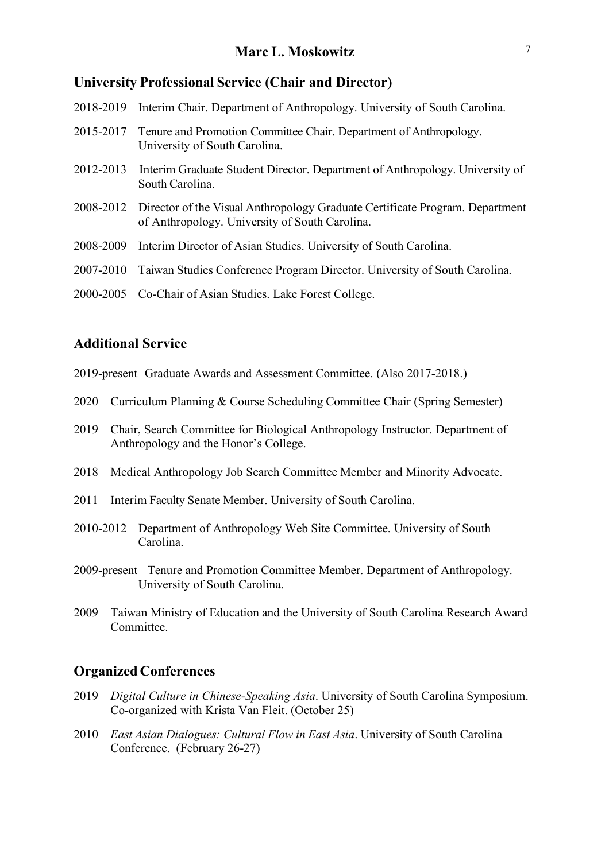#### **University Professional Service (Chair and Director)**

| 2018-2019 | Interim Chair. Department of Anthropology. University of South Carolina.                                                                 |
|-----------|------------------------------------------------------------------------------------------------------------------------------------------|
| 2015-2017 | Tenure and Promotion Committee Chair. Department of Anthropology.<br>University of South Carolina.                                       |
| 2012-2013 | Interim Graduate Student Director. Department of Anthropology. University of<br>South Carolina.                                          |
|           | 2008-2012 Director of the Visual Anthropology Graduate Certificate Program. Department<br>of Anthropology. University of South Carolina. |
| 2008-2009 | Interim Director of Asian Studies. University of South Carolina.                                                                         |
| 2007-2010 | Taiwan Studies Conference Program Director. University of South Carolina.                                                                |

2000-2005 Co-Chair of Asian Studies. Lake Forest College.

### **Additional Service**

- 2019-present Graduate Awards and Assessment Committee. (Also 2017-2018.)
- 2020 Curriculum Planning & Course Scheduling Committee Chair (Spring Semester)
- 2019 Chair, Search Committee for Biological Anthropology Instructor. Department of Anthropology and the Honor's College.
- 2018 Medical Anthropology Job Search Committee Member and Minority Advocate.
- 2011 Interim Faculty Senate Member. University of South Carolina.
- 2010-2012 Department of Anthropology Web Site Committee. University of South Carolina.
- 2009-present Tenure and Promotion Committee Member. Department of Anthropology. University of South Carolina.
- 2009 Taiwan Ministry of Education and the University of South Carolina Research Award **Committee**

### **Organized Conferences**

- 2019 *Digital Culture in Chinese-Speaking Asia*. University of South Carolina Symposium. Co-organized with Krista Van Fleit. (October 25)
- 2010 *East Asian Dialogues: Cultural Flow in East Asia*. University of South Carolina Conference. (February 26-27)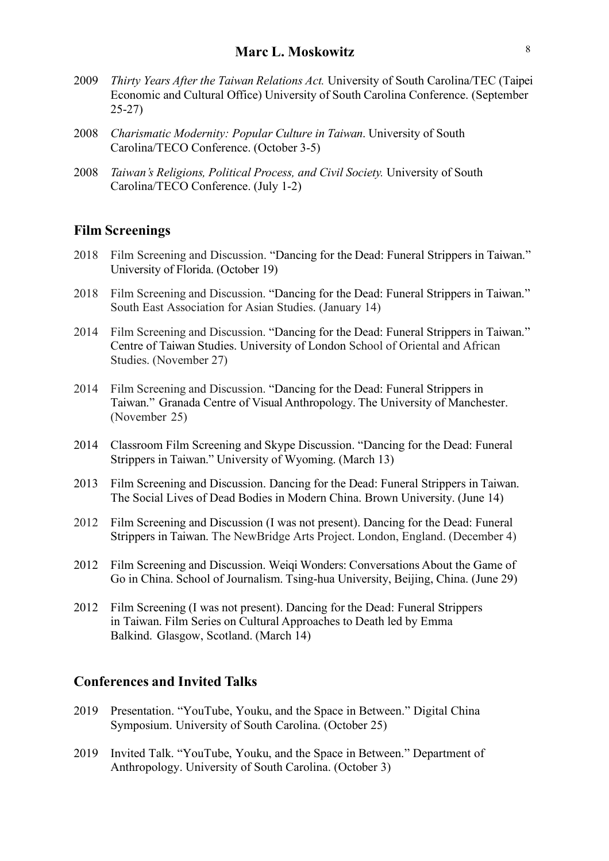- 2009 *Thirty Years After the Taiwan Relations Act.* University of South Carolina/TEC (Taipei Economic and Cultural Office) University of South Carolina Conference. (September 25-27)
- 2008 *Charismatic Modernity: Popular Culture in Taiwan*. University of South Carolina/TECO Conference. (October 3-5)
- 2008 *Taiwan's Religions, Political Process, and Civil Society.* University of South Carolina/TECO Conference. (July 1-2)

#### **Film Screenings**

- 2018 Film Screening and Discussion. "Dancing for the Dead: Funeral Strippers in Taiwan." University of Florida. (October 19)
- 2018 Film Screening and Discussion. "Dancing for the Dead: Funeral Strippers in Taiwan." South East Association for Asian Studies. (January 14)
- 2014 Film Screening and Discussion. "Dancing for the Dead: Funeral Strippers in Taiwan." Centre of Taiwan Studies. University of London School of Oriental and African Studies. (November 27)
- 2014 Film Screening and Discussion. "Dancing for the Dead: Funeral Strippers in Taiwan." Granada Centre of Visual Anthropology. The University of Manchester. (November 25)
- 2014 Classroom Film Screening and Skype Discussion. "Dancing for the Dead: Funeral Strippers in Taiwan." University of Wyoming. (March 13)
- 2013 Film Screening and Discussion. Dancing for the Dead: Funeral Strippers in Taiwan. The Social Lives of Dead Bodies in Modern China. Brown University. (June 14)
- 2012 Film Screening and Discussion (I was not present). Dancing for the Dead: Funeral Strippers in Taiwan. The NewBridge Arts Project. London, England. (December 4)
- 2012 Film Screening and Discussion. Weiqi Wonders: Conversations About the Game of Go in China. School of Journalism. Tsing-hua University, Beijing, China. (June 29)
- 2012 Film Screening (I was not present). Dancing for the Dead: Funeral Strippers in Taiwan. Film Series on Cultural Approaches to Death led by Emma Balkind. Glasgow, Scotland. (March 14)

### **Conferences and Invited Talks**

- 2019 Presentation. "YouTube, Youku, and the Space in Between." Digital China Symposium. University of South Carolina. (October 25)
- 2019 Invited Talk. "YouTube, Youku, and the Space in Between." Department of Anthropology. University of South Carolina. (October 3)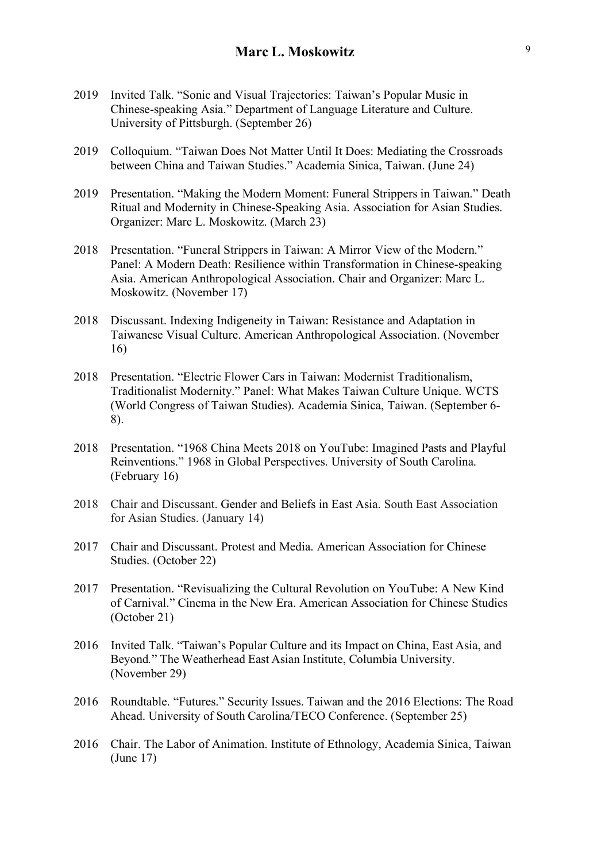- 2019 Invited Talk. "Sonic and Visual Trajectories: Taiwan's Popular Music in Chinese-speaking Asia." Department of Language Literature and Culture. University of Pittsburgh. (September 26)
- 2019 Colloquium. "Taiwan Does Not Matter Until It Does: Mediating the Crossroads between China and Taiwan Studies." Academia Sinica, Taiwan. (June 24)
- 2019 Presentation. "Making the Modern Moment: Funeral Strippers in Taiwan." Death Ritual and Modernity in Chinese-Speaking Asia. Association for Asian Studies. Organizer: Marc L. Moskowitz. (March 23)
- 2018 Presentation. "Funeral Strippers in Taiwan: A Mirror View of the Modern." Panel: A Modern Death: Resilience within Transformation in Chinese-speaking Asia. American Anthropological Association. Chair and Organizer: Marc L. Moskowitz. (November 17)
- 2018 Discussant. Indexing Indigeneity in Taiwan: Resistance and Adaptation in Taiwanese Visual Culture. American Anthropological Association. (November 16)
- 2018 Presentation. "Electric Flower Cars in Taiwan: Modernist Traditionalism, Traditionalist Modernity." Panel: What Makes Taiwan Culture Unique. WCTS (World Congress of Taiwan Studies). Academia Sinica, Taiwan. (September 6- 8).
- 2018 Presentation. "1968 China Meets 2018 on YouTube: Imagined Pasts and Playful Reinventions." 1968 in Global Perspectives. University of South Carolina. (February 16)
- 2018 Chair and Discussant. Gender and Beliefs in East Asia. South East Association for Asian Studies. (January 14)
- 2017 Chair and Discussant. Protest and Media. American Association for Chinese Studies. (October 22)
- 2017 Presentation. "Revisualizing the Cultural Revolution on YouTube: A New Kind of Carnival." Cinema in the New Era. American Association for Chinese Studies (October 21)
- 2016 Invited Talk. "Taiwan's Popular Culture and its Impact on China, East Asia, and Beyond*.*" The Weatherhead East Asian Institute, Columbia University. (November 29)
- 2016 Roundtable. "Futures." Security Issues. Taiwan and the 2016 Elections: The Road Ahead. University of South Carolina/TECO Conference. (September 25)
- 2016 Chair. The Labor of Animation. Institute of Ethnology, Academia Sinica, Taiwan (June 17)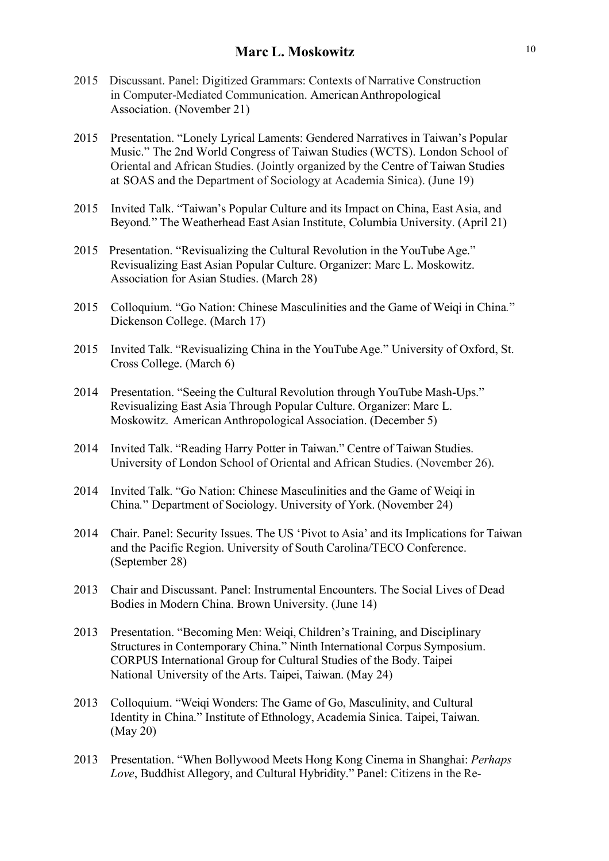- 2015 Discussant. Panel: Digitized Grammars: Contexts of Narrative Construction in Computer-Mediated Communication. American Anthropological Association. (November 21)
- 2015 Presentation. "Lonely Lyrical Laments: Gendered Narratives in Taiwan's Popular Music." The 2nd World Congress of Taiwan Studies (WCTS). London School of Oriental and African Studies. (Jointly organized by the Centre of Taiwan Studies at SOAS and the Department of Sociology at Academia Sinica). (June 19)
- 2015 Invited Talk. "Taiwan's Popular Culture and its Impact on China, East Asia, and Beyond*.*" The Weatherhead East Asian Institute, Columbia University. (April 21)
- 2015 Presentation. "Revisualizing the Cultural Revolution in the YouTube Age." Revisualizing East Asian Popular Culture. Organizer: Marc L. Moskowitz. Association for Asian Studies. (March 28)
- 2015 Colloquium. "Go Nation: Chinese Masculinities and the Game of Weiqi in China*.*" Dickenson College. (March 17)
- 2015 Invited Talk. "Revisualizing China in the YouTubeAge." University of Oxford, St. Cross College. (March 6)
- 2014 Presentation. "Seeing the Cultural Revolution through YouTube Mash-Ups." Revisualizing East Asia Through Popular Culture. Organizer: Marc L. Moskowitz. American Anthropological Association. (December 5)
- 2014 Invited Talk. "Reading Harry Potter in Taiwan." Centre of Taiwan Studies. University of London School of Oriental and African Studies. (November 26).
- 2014 Invited Talk. "Go Nation: Chinese Masculinities and the Game of Weiqi in China*.*" Department of Sociology. University of York. (November 24)
- 2014 Chair. Panel: Security Issues. The US 'Pivot to Asia' and its Implications for Taiwan and the Pacific Region. University of South Carolina/TECO Conference. (September 28)
- 2013 Chair and Discussant. Panel: Instrumental Encounters. The Social Lives of Dead Bodies in Modern China. Brown University. (June 14)
- 2013 Presentation. "Becoming Men: Weiqi, Children's Training, and Disciplinary Structures in Contemporary China." Ninth International Corpus Symposium. CORPUS International Group for Cultural Studies of the Body. Taipei National University of the Arts. Taipei, Taiwan. (May 24)
- 2013 Colloquium. "Weiqi Wonders: The Game of Go, Masculinity, and Cultural Identity in China." Institute of Ethnology, Academia Sinica. Taipei, Taiwan. (May 20)
- 2013 Presentation. "When Bollywood Meets Hong Kong Cinema in Shanghai: *Perhaps Love*, Buddhist Allegory, and Cultural Hybridity." Panel: Citizens in the Re-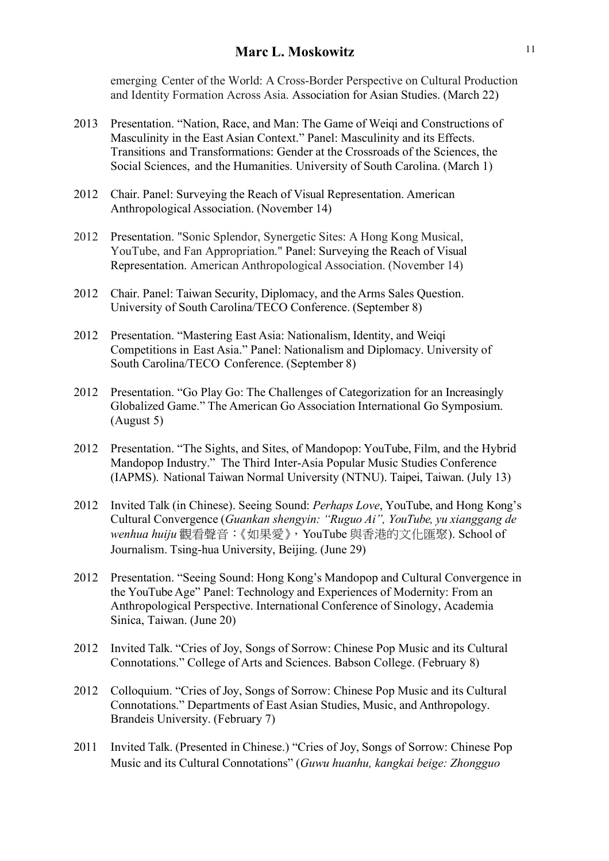emerging Center of the World: A Cross-Border Perspective on Cultural Production and Identity Formation Across Asia. Association for Asian Studies. (March 22)

- 2013 Presentation. "Nation, Race, and Man: The Game of Weiqi and Constructions of Masculinity in the East Asian Context." Panel: Masculinity and its Effects. Transitions and Transformations: Gender at the Crossroads of the Sciences, the Social Sciences, and the Humanities. University of South Carolina. (March 1)
- 2012 Chair. Panel: Surveying the Reach of Visual Representation. American Anthropological Association. (November 14)
- 2012 Presentation. "Sonic Splendor, Synergetic Sites: A Hong Kong Musical, YouTube, and Fan Appropriation." Panel: Surveying the Reach of Visual Representation. American Anthropological Association. (November 14)
- 2012 Chair. Panel: Taiwan Security, Diplomacy, and the Arms Sales Question. University of South Carolina/TECO Conference. (September 8)
- 2012 Presentation. "Mastering East Asia: Nationalism, Identity, and Weiqi Competitions in East Asia." Panel: Nationalism and Diplomacy. University of South Carolina/TECO Conference. (September 8)
- 2012 Presentation. "Go Play Go: The Challenges of Categorization for an Increasingly Globalized Game." The American Go Association International Go Symposium. (August 5)
- 2012 Presentation. "The Sights, and Sites, of Mandopop: YouTube, Film, and the Hybrid Mandopop Industry." The Third Inter-Asia Popular Music Studies Conference (IAPMS). National Taiwan Normal University (NTNU). Taipei, Taiwan. (July 13)
- 2012 Invited Talk (in Chinese). Seeing Sound: *Perhaps Love*, YouTube, and Hong Kong's Cultural Convergence (*Guankan shengyin: "Ruguo Ai", YouTube, yu xianggang de wenhua huiju* 觀看聲音:《如果愛》,YouTube 與香港的文化匯聚). School of Journalism. Tsing-hua University, Beijing. (June 29)
- 2012 Presentation. "Seeing Sound: Hong Kong's Mandopop and Cultural Convergence in the YouTube Age" Panel: Technology and Experiences of Modernity: From an Anthropological Perspective. International Conference of Sinology, Academia Sinica, Taiwan. (June 20)
- 2012 Invited Talk. "Cries of Joy, Songs of Sorrow: Chinese Pop Music and its Cultural Connotations." College of Arts and Sciences. Babson College. (February 8)
- 2012 Colloquium. "Cries of Joy, Songs of Sorrow: Chinese Pop Music and its Cultural Connotations." Departments of East Asian Studies, Music, and Anthropology. Brandeis University. (February 7)
- 2011 Invited Talk. (Presented in Chinese.) "Cries of Joy, Songs of Sorrow: Chinese Pop Music and its Cultural Connotations" (*Guwu huanhu, kangkai beige: Zhongguo*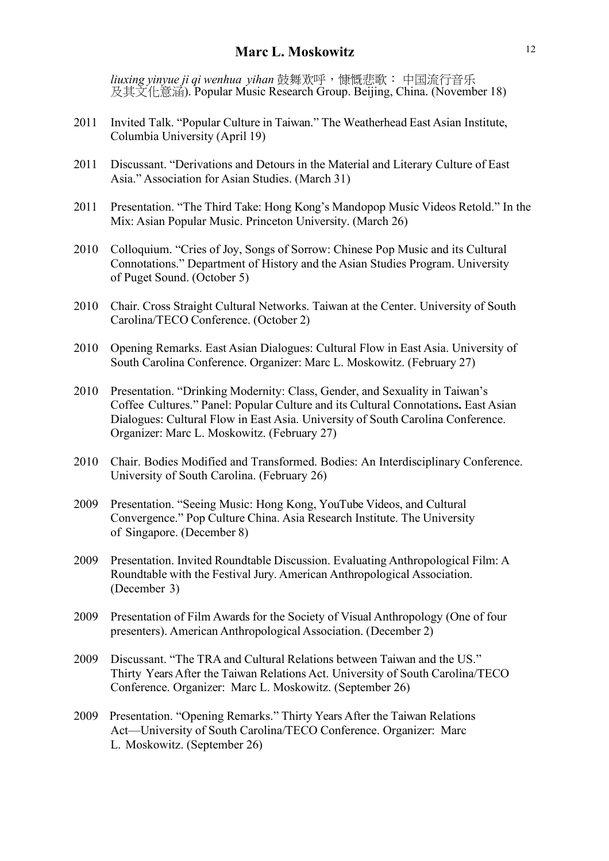*liuxing yinyue ji qi wenhua yihan* 鼓舞欢呼,慷慨悲歌: 中国流行音乐 及其文化意涵). Popular Music Research Group. Beijing, China. (November 18)

- 2011 Invited Talk. "Popular Culture in Taiwan." The Weatherhead East Asian Institute, Columbia University (April 19)
- 2011 Discussant. "Derivations and Detours in the Material and Literary Culture of East Asia." Association for Asian Studies. (March 31)
- 2011 Presentation. "The Third Take: Hong Kong's Mandopop Music Videos Retold." In the Mix: Asian Popular Music. Princeton University. (March 26)
- 2010 Colloquium. "Cries of Joy, Songs of Sorrow: Chinese Pop Music and its Cultural Connotations." Department of History and the Asian Studies Program. University of Puget Sound. (October 5)
- 2010 Chair. Cross Straight Cultural Networks. Taiwan at the Center. University of South Carolina/TECO Conference. (October 2)
- 2010 Opening Remarks. East Asian Dialogues: Cultural Flow in East Asia. University of South Carolina Conference. Organizer: Marc L. Moskowitz. (February 27)
- 2010 Presentation. "Drinking Modernity: Class, Gender, and Sexuality in Taiwan's Coffee Cultures." Panel: Popular Culture and its Cultural Connotations**.** East Asian Dialogues: Cultural Flow in East Asia. University of South Carolina Conference. Organizer: Marc L. Moskowitz. (February 27)
- 2010 Chair. Bodies Modified and Transformed. Bodies: An Interdisciplinary Conference. University of South Carolina. (February 26)
- 2009 Presentation. "Seeing Music: Hong Kong, YouTube Videos, and Cultural Convergence." Pop Culture China. Asia Research Institute. The University of Singapore. (December 8)
- 2009 Presentation. Invited Roundtable Discussion. Evaluating Anthropological Film: A Roundtable with the Festival Jury. American Anthropological Association. (December 3)
- 2009 Presentation of Film Awards for the Society of Visual Anthropology (One of four presenters). American Anthropological Association. (December 2)
- 2009 Discussant. "The TRA and Cultural Relations between Taiwan and the US." Thirty Years After the Taiwan Relations Act. University of South Carolina/TECO Conference. Organizer: Marc L. Moskowitz. (September 26)
- 2009 Presentation. "Opening Remarks." Thirty Years After the Taiwan Relations Act—University of South Carolina/TECO Conference. Organizer: Marc L. Moskowitz. (September 26)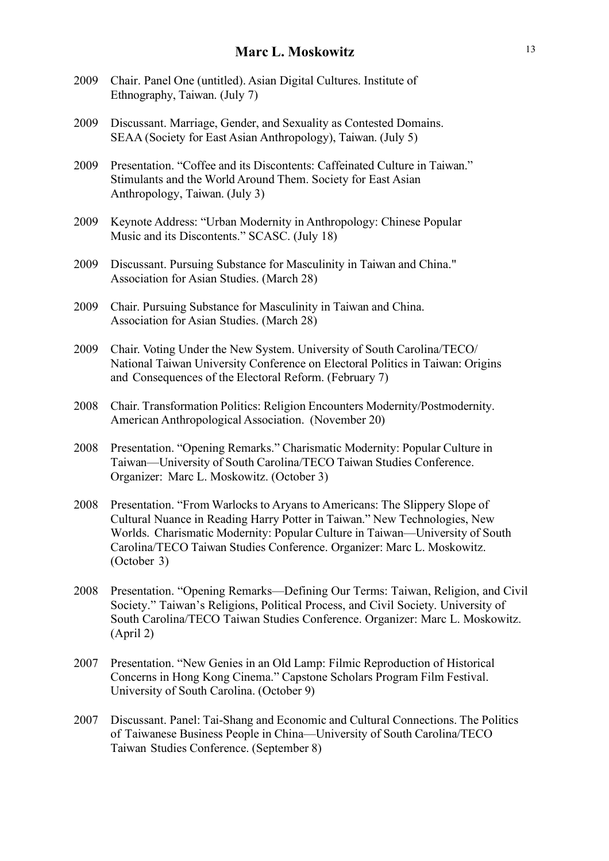- 2009 Chair. Panel One (untitled). Asian Digital Cultures. Institute of Ethnography, Taiwan. (July 7)
- 2009 Discussant. Marriage, Gender, and Sexuality as Contested Domains. SEAA (Society for East Asian Anthropology), Taiwan. (July 5)
- 2009 Presentation. "Coffee and its Discontents: Caffeinated Culture in Taiwan." Stimulants and the World Around Them. Society for East Asian Anthropology, Taiwan. (July 3)
- 2009 Keynote Address: "Urban Modernity in Anthropology: Chinese Popular Music and its Discontents." SCASC. (July 18)
- 2009 Discussant. Pursuing Substance for Masculinity in Taiwan and China." Association for Asian Studies. (March 28)
- 2009 Chair. Pursuing Substance for Masculinity in Taiwan and China. Association for Asian Studies. (March 28)
- 2009 Chair. Voting Under the New System. University of South Carolina/TECO/ National Taiwan University Conference on Electoral Politics in Taiwan: Origins and Consequences of the Electoral Reform. (February 7)
- 2008 Chair. Transformation Politics: Religion Encounters Modernity/Postmodernity. American Anthropological Association. (November 20)
- 2008 Presentation. "Opening Remarks." Charismatic Modernity: Popular Culture in Taiwan—University of South Carolina/TECO Taiwan Studies Conference. Organizer: Marc L. Moskowitz. (October 3)
- 2008 Presentation. "From Warlocks to Aryans to Americans: The Slippery Slope of Cultural Nuance in Reading Harry Potter in Taiwan." New Technologies, New Worlds. Charismatic Modernity: Popular Culture in Taiwan—University of South Carolina/TECO Taiwan Studies Conference. Organizer: Marc L. Moskowitz. (October 3)
- 2008 Presentation. "Opening Remarks—Defining Our Terms: Taiwan, Religion, and Civil Society." Taiwan's Religions, Political Process, and Civil Society. University of South Carolina/TECO Taiwan Studies Conference. Organizer: Marc L. Moskowitz. (April 2)
- 2007 Presentation. "New Genies in an Old Lamp: Filmic Reproduction of Historical Concerns in Hong Kong Cinema." Capstone Scholars Program Film Festival. University of South Carolina. (October 9)
- 2007 Discussant. Panel: Tai-Shang and Economic and Cultural Connections. The Politics of Taiwanese Business People in China—University of South Carolina/TECO Taiwan Studies Conference. (September 8)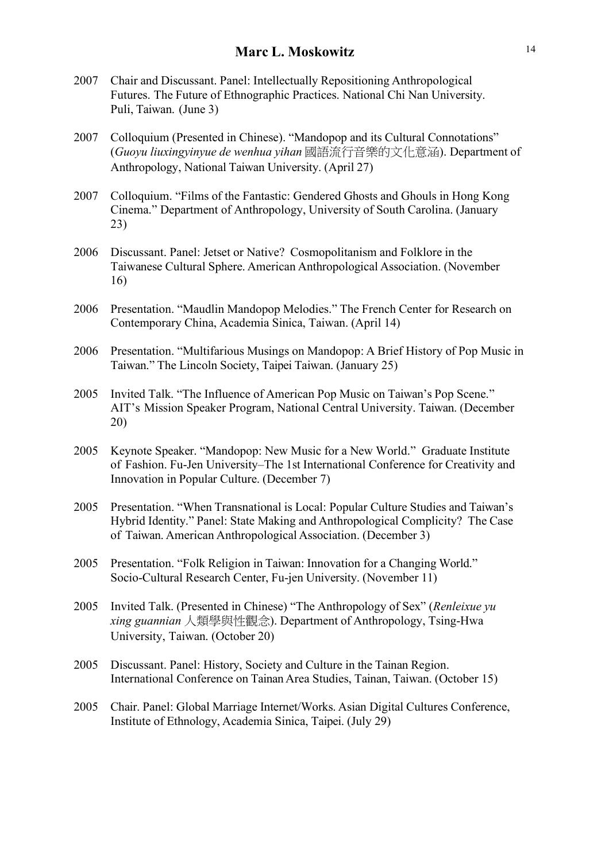- 2007 Chair and Discussant. Panel: Intellectually Repositioning Anthropological Futures. The Future of Ethnographic Practices. National Chi Nan University. Puli, Taiwan. (June 3)
- 2007 Colloquium (Presented in Chinese). "Mandopop and its Cultural Connotations" (*Guoyu liuxingyinyue de wenhua yihan* 國語流行音樂的文化意涵). Department of Anthropology, National Taiwan University. (April 27)
- 2007 Colloquium. "Films of the Fantastic: Gendered Ghosts and Ghouls in Hong Kong Cinema." Department of Anthropology, University of South Carolina. (January 23)
- 2006 Discussant. Panel: Jetset or Native? Cosmopolitanism and Folklore in the Taiwanese Cultural Sphere. American Anthropological Association. (November 16)
- 2006 Presentation. "Maudlin Mandopop Melodies." The French Center for Research on Contemporary China, Academia Sinica, Taiwan. (April 14)
- 2006 Presentation. "Multifarious Musings on Mandopop: A Brief History of Pop Music in Taiwan." The Lincoln Society, Taipei Taiwan. (January 25)
- 2005 Invited Talk. "The Influence of American Pop Music on Taiwan's Pop Scene." AIT's Mission Speaker Program, National Central University. Taiwan. (December 20)
- 2005 Keynote Speaker. "Mandopop: New Music for a New World." Graduate Institute of Fashion. Fu-Jen University–The 1st International Conference for Creativity and Innovation in Popular Culture. (December 7)
- 2005 Presentation. "When Transnational is Local: Popular Culture Studies and Taiwan's Hybrid Identity." Panel: State Making and Anthropological Complicity? The Case of Taiwan. American Anthropological Association. (December 3)
- 2005 Presentation. "Folk Religion in Taiwan: Innovation for a Changing World." Socio-Cultural Research Center, Fu-jen University. (November 11)
- 2005 Invited Talk. (Presented in Chinese) "The Anthropology of Sex" (*Renleixue yu xing guannian* 人類學與性觀念). Department of Anthropology, Tsing-Hwa University, Taiwan. (October 20)
- 2005 Discussant. Panel: History, Society and Culture in the Tainan Region. International Conference on Tainan Area Studies, Tainan, Taiwan. (October 15)
- 2005 Chair. Panel: Global Marriage Internet/Works. Asian Digital Cultures Conference, Institute of Ethnology, Academia Sinica, Taipei. (July 29)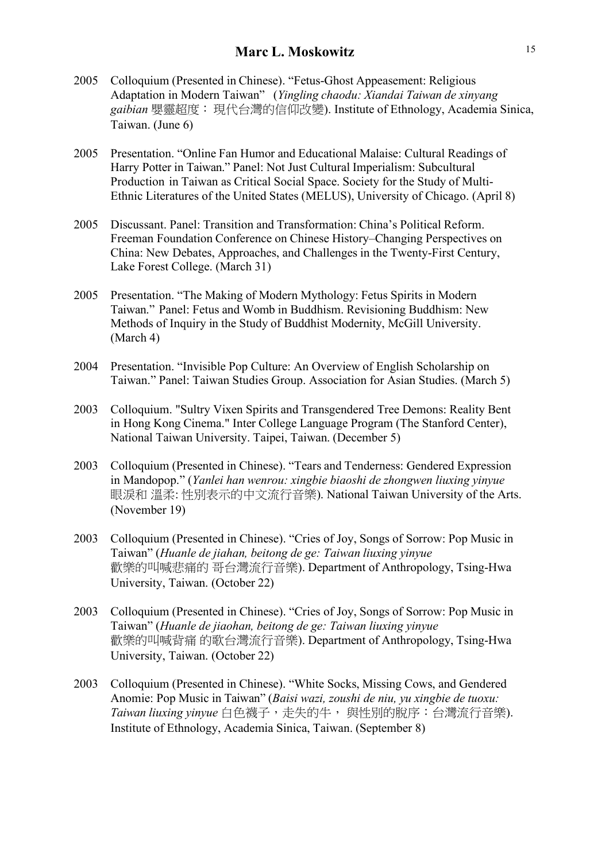- 2005 Colloquium (Presented in Chinese). "Fetus-Ghost Appeasement: Religious Adaptation in Modern Taiwan" (*Yingling chaodu: Xiandai Taiwan de xinyang gaibian* 嬰靈超度:現代台灣的信仰改變). Institute of Ethnology, Academia Sinica, Taiwan. (June 6)
- 2005 Presentation. "Online Fan Humor and Educational Malaise: Cultural Readings of Harry Potter in Taiwan." Panel: Not Just Cultural Imperialism: Subcultural Production in Taiwan as Critical Social Space. Society for the Study of Multi-Ethnic Literatures of the United States (MELUS), University of Chicago. (April 8)
- 2005 Discussant. Panel: Transition and Transformation: China's Political Reform. Freeman Foundation Conference on Chinese History–Changing Perspectives on China: New Debates, Approaches, and Challenges in the Twenty-First Century, Lake Forest College. (March 31)
- 2005 Presentation. "The Making of Modern Mythology: Fetus Spirits in Modern Taiwan." Panel: Fetus and Womb in Buddhism. Revisioning Buddhism: New Methods of Inquiry in the Study of Buddhist Modernity, McGill University. (March 4)
- 2004 Presentation. "Invisible Pop Culture: An Overview of English Scholarship on Taiwan." Panel: Taiwan Studies Group. Association for Asian Studies. (March 5)
- 2003 Colloquium. "Sultry Vixen Spirits and Transgendered Tree Demons: Reality Bent in Hong Kong Cinema." Inter College Language Program (The Stanford Center), National Taiwan University. Taipei, Taiwan. (December 5)
- 2003 Colloquium (Presented in Chinese). "Tears and Tenderness: Gendered Expression in Mandopop." (*Yanlei han wenrou: xingbie biaoshi de zhongwen liuxing yinyue* 眼淚和 溫柔: 性別表示的中文流行音樂). National Taiwan University of the Arts. (November 19)
- 2003 Colloquium (Presented in Chinese). "Cries of Joy, Songs of Sorrow: Pop Music in Taiwan" (*Huanle de jiahan, beitong de ge: Taiwan liuxing yinyue* 歡樂的叫喊悲痛的 哥台灣流行音樂). Department of Anthropology, Tsing-Hwa University, Taiwan. (October 22)
- 2003 Colloquium (Presented in Chinese). "Cries of Joy, Songs of Sorrow: Pop Music in Taiwan" (*Huanle de jiaohan, beitong de ge: Taiwan liuxing yinyue* 歡樂的叫喊背痛 的歌台灣流行音樂). Department of Anthropology, Tsing-Hwa University, Taiwan. (October 22)
- 2003 Colloquium (Presented in Chinese). "White Socks, Missing Cows, and Gendered Anomie: Pop Music in Taiwan" (*Baisi wazi, zoushi de niu, yu xingbie de tuoxu: Taiwan liuxing yinyue* 白色襪子,走失的牛, 與性別的脫序:台灣流行音樂). Institute of Ethnology, Academia Sinica, Taiwan. (September 8)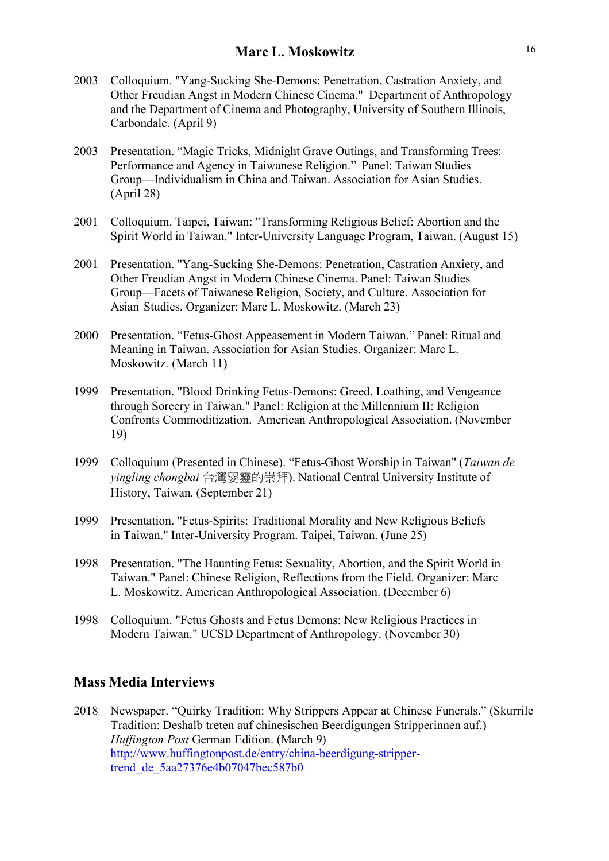- 2003 Colloquium. "Yang-Sucking She-Demons: Penetration, Castration Anxiety, and Other Freudian Angst in Modern Chinese Cinema." Department of Anthropology and the Department of Cinema and Photography, University of Southern Illinois, Carbondale. (April 9)
- 2003 Presentation. "Magic Tricks, Midnight Grave Outings, and Transforming Trees: Performance and Agency in Taiwanese Religion." Panel: Taiwan Studies Group—Individualism in China and Taiwan. Association for Asian Studies. (April 28)
- 2001 Colloquium. Taipei, Taiwan: "Transforming Religious Belief: Abortion and the Spirit World in Taiwan." Inter-University Language Program, Taiwan. (August 15)
- 2001 Presentation. "Yang-Sucking She-Demons: Penetration, Castration Anxiety, and Other Freudian Angst in Modern Chinese Cinema. Panel: Taiwan Studies Group—Facets of Taiwanese Religion, Society, and Culture. Association for Asian Studies. Organizer: Marc L. Moskowitz. (March 23)
- 2000 Presentation. "Fetus-Ghost Appeasement in Modern Taiwan." Panel: Ritual and Meaning in Taiwan. Association for Asian Studies. Organizer: Marc L. Moskowitz. (March 11)
- 1999 Presentation. "Blood Drinking Fetus-Demons: Greed, Loathing, and Vengeance through Sorcery in Taiwan." Panel: Religion at the Millennium II: Religion Confronts Commoditization. American Anthropological Association. (November 19)
- 1999 Colloquium (Presented in Chinese). "Fetus-Ghost Worship in Taiwan" (*Taiwan de yingling chongbai* 台灣嬰靈的崇拜). National Central University Institute of History, Taiwan. (September 21)
- 1999 Presentation. "Fetus-Spirits: Traditional Morality and New Religious Beliefs in Taiwan." Inter-University Program. Taipei, Taiwan. (June 25)
- 1998 Presentation. "The Haunting Fetus: Sexuality, Abortion, and the Spirit World in Taiwan." Panel: Chinese Religion, Reflections from the Field. Organizer: Marc L. Moskowitz. American Anthropological Association. (December 6)
- 1998 Colloquium. "Fetus Ghosts and Fetus Demons: New Religious Practices in Modern Taiwan." UCSD Department of Anthropology. (November 30)

### **Mass Media Interviews**

2018 Newspaper. "Quirky Tradition: Why Strippers Appear at Chinese Funerals." (Skurrile Tradition: Deshalb treten auf chinesischen Beerdigungen Stripperinnen auf.) *Huffington Post* German Edition. (March 9) http://www.huffingtonpost.de/entry/china-beerdigung-strippertrend\_de\_5aa27376e4b07047bec587b0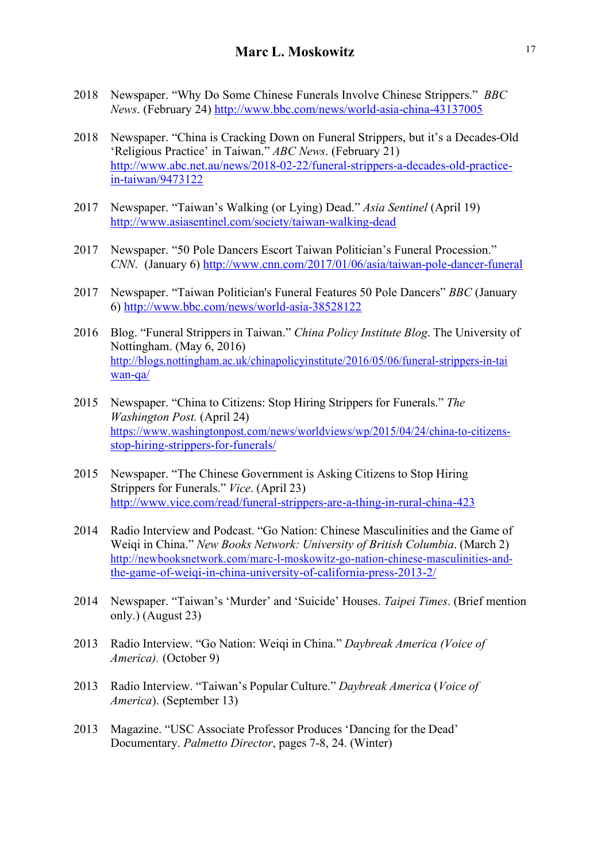- 2018 Newspaper. "Why Do Some Chinese Funerals Involve Chinese Strippers." *BBC News*. (February 24) http://www.bbc.com/news/world-asia-china-43137005
- 2018 Newspaper. "China is Cracking Down on Funeral Strippers, but it's a Decades-Old 'Religious Practice' in Taiwan." *ABC News*. (February 21) http://www.abc.net.au/news/2018-02-22/funeral-strippers-a-decades-old-practicein-taiwan/9473122
- 2017 Newspaper. "Taiwan's Walking (or Lying) Dead." *Asia Sentinel* (April 19) http://www.asiasentinel.com/society/taiwan-walking-dead
- 2017 Newspaper. "50 Pole Dancers Escort Taiwan Politician's Funeral Procession." *CNN*. (January 6) http://www.cnn.com/2017/01/06/asia/taiwan-pole-dancer-funeral
- 2017 Newspaper. "Taiwan Politician's Funeral Features 50 Pole Dancers" *BBC* (January 6) http://www.bbc.com/news/world-asia-38528122
- 2016 Blog. "Funeral Strippers in Taiwan." *China Policy Institute Blog*. The University of Nottingham. (May 6, 2016) http://blogs.nottingham.ac.uk/chinapolicyinstitute/2016/05/06/funeral-strippers-in-tai wan-qa/
- 2015 Newspaper. "China to Citizens: Stop Hiring Strippers for Funerals." *The Washington Post.* (April 24) https://www.washingtonpost.com/news/worldviews/wp/2015/04/24/china-to-citizensstop-hiring-strippers-for-funerals/
- 2015 Newspaper. "The Chinese Government is Asking Citizens to Stop Hiring Strippers for Funerals." *Vice*. (April 23) http://www.vice.com/read/funeral-strippers-are-a-thing-in-rural-china-423
- 2014 Radio Interview and Podcast. "Go Nation: Chinese Masculinities and the Game of Weiqi in China." *New Books Network: University of British Columbia*. (March 2) http://newbooksnetwork.com/marc-l-moskowitz-go-nation-chinese-masculinities-andthe-game-of-weiqi-in-china-university-of-california-press-2013-2/
- 2014 Newspaper. "Taiwan's 'Murder' and 'Suicide' Houses. *Taipei Times*. (Brief mention only.) (August 23)
- 2013 Radio Interview. "Go Nation: Weiqi in China." *Daybreak America (Voice of America).* (October 9)
- 2013 Radio Interview. "Taiwan's Popular Culture." *Daybreak America* (*Voice of America*). (September 13)
- 2013 Magazine. "USC Associate Professor Produces 'Dancing for the Dead' Documentary. *Palmetto Director*, pages 7-8, 24. (Winter)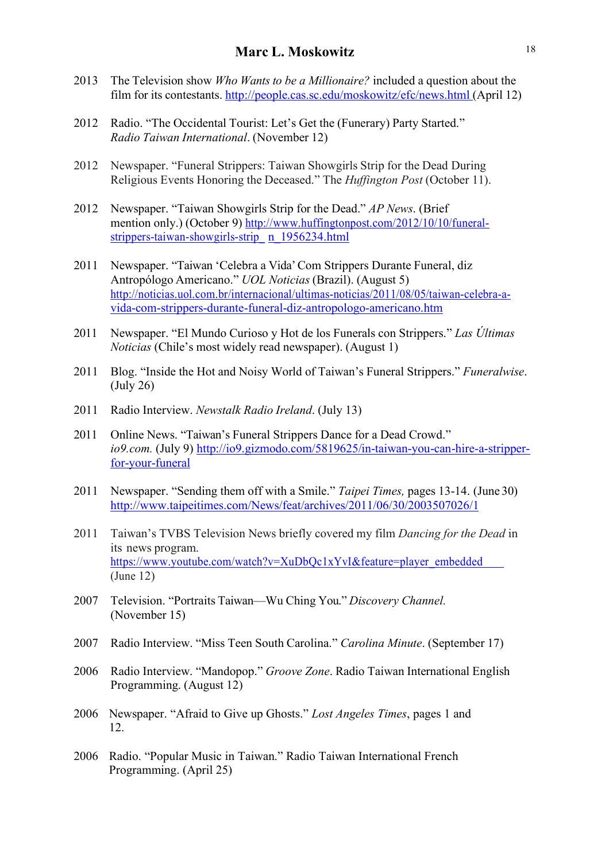- 2013 The Television show *Who Wants to be a Millionaire?* included a question about the film for its contestants. http://people.cas.sc.edu/moskowitz/efc/news.html (April 12)
- 2012 Radio. "The Occidental Tourist: Let's Get the (Funerary) Party Started." *Radio Taiwan International*. (November 12)
- 2012 Newspaper. "Funeral Strippers: Taiwan Showgirls Strip for the Dead During Religious Events Honoring the Deceased." The *Huffington Post* (October 11).
- 2012 Newspaper. "Taiwan Showgirls Strip for the Dead." *AP News*. (Brief mention only.) (October 9) http://www.huffingtonpost.com/2012/10/10/funeralstrippers-taiwan-showgirls-strip\_ n\_1956234.html
- 2011 Newspaper. "Taiwan 'Celebra a Vida'Com Strippers Durante Funeral, diz Antropólogo Americano." *UOL Noticias* (Brazil). (August 5) http://noticias.uol.com.br/internacional/ultimas-noticias/2011/08/05/taiwan-celebra-avida-com-strippers-durante-funeral-diz-antropologo-americano.htm
- 2011 Newspaper. "El Mundo Curioso y Hot de los Funerals con Strippers." *Las Últimas Noticias* (Chile's most widely read newspaper). (August 1)
- 2011 Blog. "Inside the Hot and Noisy World of Taiwan's Funeral Strippers." *Funeralwise*. (July 26)
- 2011 Radio Interview. *Newstalk Radio Ireland*. (July 13)
- 2011 Online News. "Taiwan's Funeral Strippers Dance for a Dead Crowd." *io9.com.* (July 9) http://io9.gizmodo.com/5819625/in-taiwan-you-can-hire-a-stripperfor-your-funeral
- 2011 Newspaper. "Sending them off with a Smile." *Taipei Times,* pages 13-14. (June 30) http://www.taipeitimes.com/News/feat/archives/2011/06/30/2003507026/1
- 2011 Taiwan's TVBS Television News briefly covered my film *Dancing for the Dead* in its news program. https://www.youtube.com/watch?v=XuDbQc1xYvI&feature=player\_embedded (June 12)
- 2007 Television. "Portraits Taiwan—Wu Ching You." *Discovery Channel.* (November 15)
- 2007 Radio Interview. "Miss Teen South Carolina." *Carolina Minute*. (September 17)
- 2006 Radio Interview. "Mandopop." *Groove Zone*. Radio Taiwan International English Programming. (August 12)
- 2006 Newspaper. "Afraid to Give up Ghosts." *Lost Angeles Times*, pages 1 and 12.
- 2006 Radio. "Popular Music in Taiwan." Radio Taiwan International French Programming. (April 25)